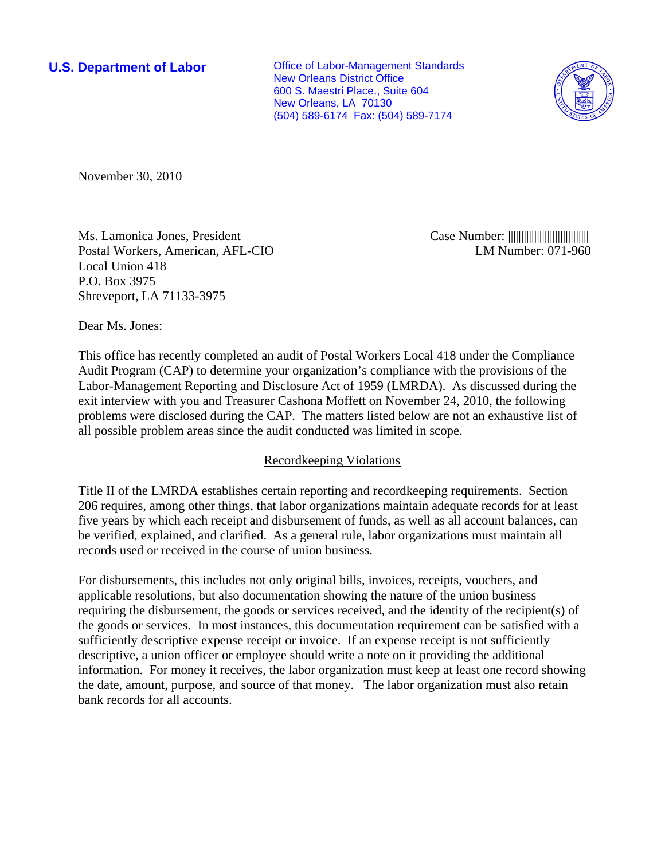**U.S. Department of Labor Conservative Conservative Conservative Conservative Conservative Conservative Conservative Conservative Conservative Conservative Conservative Conservative Conservative Conservative Conservative** New Orleans District Office 600 S. Maestri Place., Suite 604 New Orleans, LA 70130 (504) 589-6174 Fax: (504) 589-7174



November 30, 2010

Ms. Lamonica Jones, President Postal Workers, American, AFL-CIO Local Union 418 P.O. Box 3975 Shreveport, LA 71133-3975

Case Number: ||||||||||||||||||||||||||||||| LM Number: 071-960

Dear Ms. Jones:

This office has recently completed an audit of Postal Workers Local 418 under the Compliance Audit Program (CAP) to determine your organization's compliance with the provisions of the Labor-Management Reporting and Disclosure Act of 1959 (LMRDA). As discussed during the exit interview with you and Treasurer Cashona Moffett on November 24, 2010, the following problems were disclosed during the CAP. The matters listed below are not an exhaustive list of all possible problem areas since the audit conducted was limited in scope.

## Recordkeeping Violations

Title II of the LMRDA establishes certain reporting and recordkeeping requirements. Section 206 requires, among other things, that labor organizations maintain adequate records for at least five years by which each receipt and disbursement of funds, as well as all account balances, can be verified, explained, and clarified. As a general rule, labor organizations must maintain all records used or received in the course of union business.

For disbursements, this includes not only original bills, invoices, receipts, vouchers, and applicable resolutions, but also documentation showing the nature of the union business requiring the disbursement, the goods or services received, and the identity of the recipient(s) of the goods or services. In most instances, this documentation requirement can be satisfied with a sufficiently descriptive expense receipt or invoice. If an expense receipt is not sufficiently descriptive, a union officer or employee should write a note on it providing the additional information. For money it receives, the labor organization must keep at least one record showing the date, amount, purpose, and source of that money. The labor organization must also retain bank records for all accounts.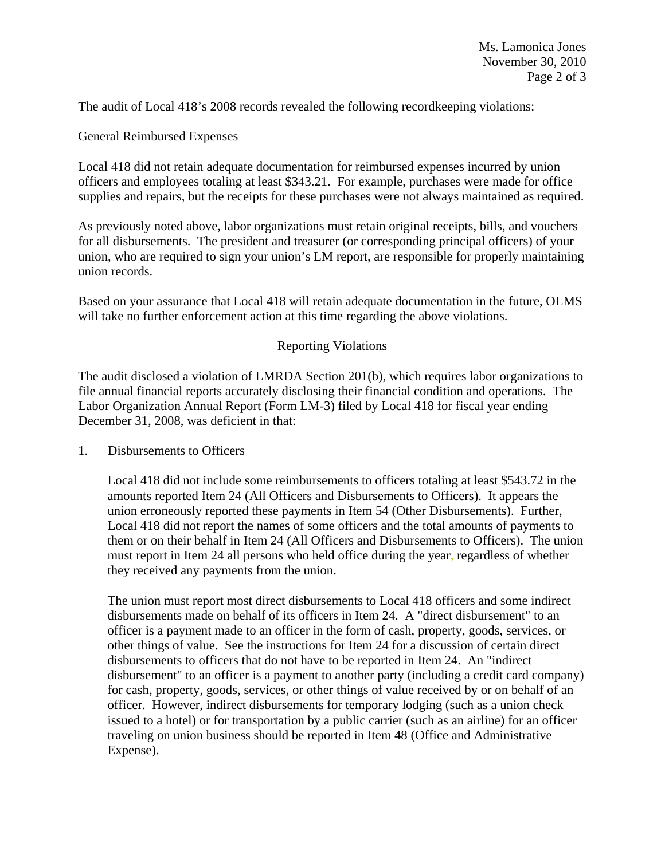The audit of Local 418's 2008 records revealed the following recordkeeping violations:

General Reimbursed Expenses

Local 418 did not retain adequate documentation for reimbursed expenses incurred by union officers and employees totaling at least \$343.21. For example, purchases were made for office supplies and repairs, but the receipts for these purchases were not always maintained as required.

As previously noted above, labor organizations must retain original receipts, bills, and vouchers for all disbursements. The president and treasurer (or corresponding principal officers) of your union, who are required to sign your union's LM report, are responsible for properly maintaining union records.

Based on your assurance that Local 418 will retain adequate documentation in the future, OLMS will take no further enforcement action at this time regarding the above violations.

## Reporting Violations

The audit disclosed a violation of LMRDA Section 201(b), which requires labor organizations to file annual financial reports accurately disclosing their financial condition and operations. The Labor Organization Annual Report (Form LM-3) filed by Local 418 for fiscal year ending December 31, 2008, was deficient in that:

1. Disbursements to Officers

Local 418 did not include some reimbursements to officers totaling at least \$543.72 in the amounts reported Item 24 (All Officers and Disbursements to Officers). It appears the union erroneously reported these payments in Item 54 (Other Disbursements). Further, Local 418 did not report the names of some officers and the total amounts of payments to them or on their behalf in Item 24 (All Officers and Disbursements to Officers). The union must report in Item 24 all persons who held office during the year, regardless of whether they received any payments from the union.

The union must report most direct disbursements to Local 418 officers and some indirect disbursements made on behalf of its officers in Item 24. A "direct disbursement" to an officer is a payment made to an officer in the form of cash, property, goods, services, or other things of value. See the instructions for Item 24 for a discussion of certain direct disbursements to officers that do not have to be reported in Item 24. An "indirect disbursement" to an officer is a payment to another party (including a credit card company) for cash, property, goods, services, or other things of value received by or on behalf of an officer. However, indirect disbursements for temporary lodging (such as a union check issued to a hotel) or for transportation by a public carrier (such as an airline) for an officer traveling on union business should be reported in Item 48 (Office and Administrative Expense).